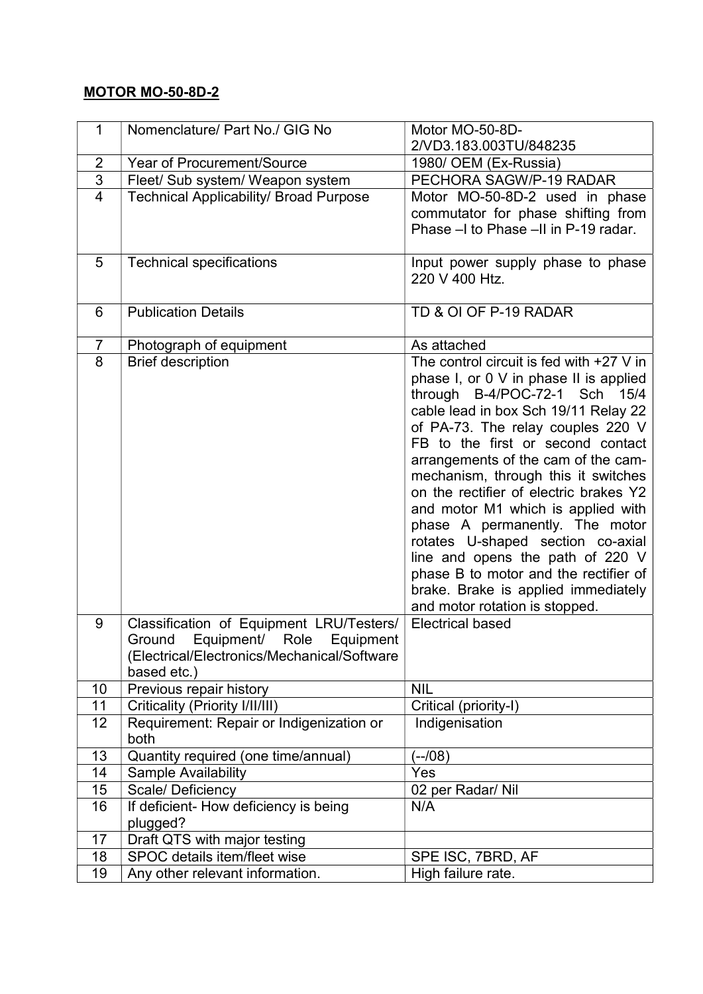## MOTOR MO-50-8D-2

| $\mathbf 1$    | Nomenclature/ Part No./ GIG No                | Motor MO-50-8D-<br>2/VD3.183.003TU/848235                             |
|----------------|-----------------------------------------------|-----------------------------------------------------------------------|
| 2              | <b>Year of Procurement/Source</b>             | 1980/ OEM (Ex-Russia)                                                 |
| 3              | Fleet/ Sub system/ Weapon system              | PECHORA SAGW/P-19 RADAR                                               |
| $\overline{4}$ | <b>Technical Applicability/ Broad Purpose</b> | Motor MO-50-8D-2 used in phase                                        |
|                |                                               | commutator for phase shifting from                                    |
|                |                                               | Phase -I to Phase -II in P-19 radar.                                  |
|                |                                               |                                                                       |
| 5              | <b>Technical specifications</b>               | Input power supply phase to phase                                     |
|                |                                               | 220 V 400 Htz.                                                        |
|                |                                               |                                                                       |
| 6              | <b>Publication Details</b>                    | TD & OI OF P-19 RADAR                                                 |
|                |                                               |                                                                       |
| $\overline{7}$ | Photograph of equipment                       | As attached                                                           |
| 8              | <b>Brief description</b>                      | The control circuit is fed with $+27$ V in                            |
|                |                                               | phase I, or 0 V in phase II is applied                                |
|                |                                               | through B-4/POC-72-1 Sch 15/4                                         |
|                |                                               | cable lead in box Sch 19/11 Relay 22                                  |
|                |                                               | of PA-73. The relay couples 220 V                                     |
|                |                                               | FB to the first or second contact                                     |
|                |                                               | arrangements of the cam of the cam-                                   |
|                |                                               | mechanism, through this it switches                                   |
|                |                                               | on the rectifier of electric brakes Y2                                |
|                |                                               | and motor M1 which is applied with                                    |
|                |                                               | phase A permanently. The motor                                        |
|                |                                               | rotates U-shaped section co-axial                                     |
|                |                                               | line and opens the path of 220 V                                      |
|                |                                               | phase B to motor and the rectifier of                                 |
|                |                                               | brake. Brake is applied immediately<br>and motor rotation is stopped. |
| 9              | Classification of Equipment LRU/Testers/      | <b>Electrical based</b>                                               |
|                | Equipment/<br>Role<br>Ground<br>Equipment     |                                                                       |
|                | (Electrical/Electronics/Mechanical/Software   |                                                                       |
|                | based etc.)                                   |                                                                       |
| 10             | Previous repair history                       | <b>NIL</b>                                                            |
| 11             | Criticality (Priority I/II/III)               | Critical (priority-I)                                                 |
| 12             | Requirement: Repair or Indigenization or      | Indigenisation                                                        |
|                | both                                          |                                                                       |
| 13             | Quantity required (one time/annual)           | $(-108)$                                                              |
| 14             | Sample Availability                           | Yes                                                                   |
| 15             | Scale/Deficiency                              | 02 per Radar/ Nil                                                     |
| 16             | If deficient- How deficiency is being         | N/A                                                                   |
|                | plugged?                                      |                                                                       |
| 17             | Draft QTS with major testing                  |                                                                       |
| 18             | SPOC details item/fleet wise                  | SPE ISC, 7BRD, AF                                                     |
| 19             | Any other relevant information.               | High failure rate.                                                    |